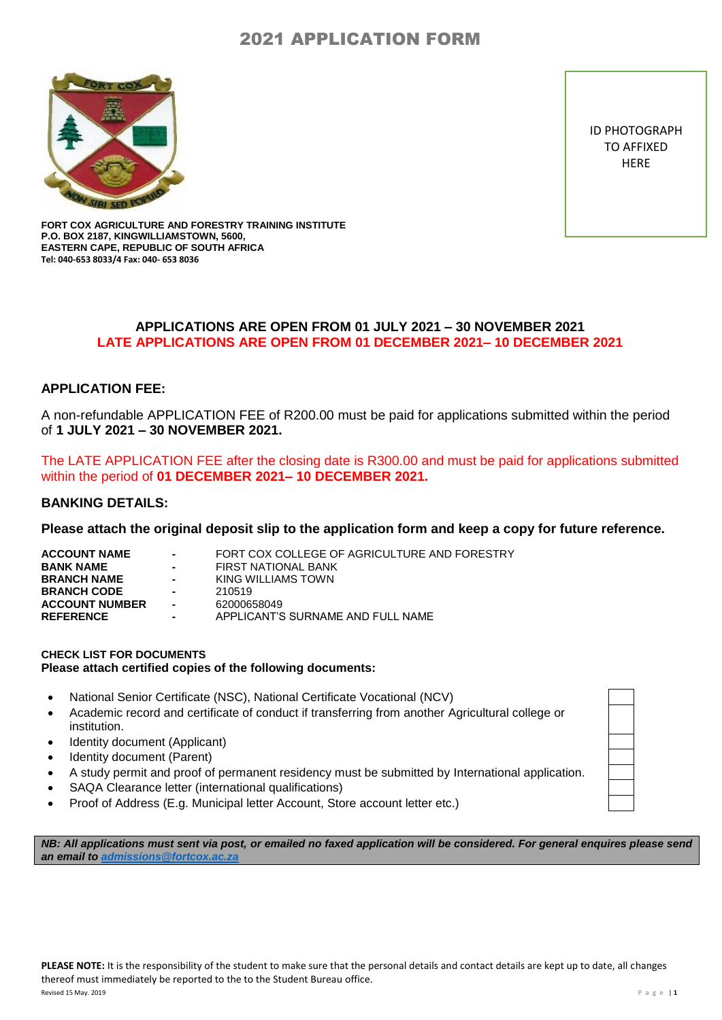

ID PHOTOGRAPH TO AFFIXED **HERE** 

**FORT COX AGRICULTURE AND FORESTRY TRAINING INSTITUTE P.O. BOX 2187, KINGWILLIAMSTOWN, 5600, EASTERN CAPE, REPUBLIC OF SOUTH AFRICA Tel: 040-653 8033/4 Fax: 040- 653 8036**

## **APPLICATIONS ARE OPEN FROM 01 JULY 2021 – 30 NOVEMBER 2021 LATE APPLICATIONS ARE OPEN FROM 01 DECEMBER 2021– 10 DECEMBER 2021**

## **APPLICATION FEE:**

A non-refundable APPLICATION FEE of R200.00 must be paid for applications submitted within the period of **1 JULY 2021 – 30 NOVEMBER 2021.**

The LATE APPLICATION FEE after the closing date is R300.00 and must be paid for applications submitted within the period of **01 DECEMBER 2021– 10 DECEMBER 2021.**

#### **BANKING DETAILS:**

**Please attach the original deposit slip to the application form and keep a copy for future reference.**

| $\sim 100$<br>$\sim 100$<br><b>Contract</b><br>$\sim$<br>$\sim$ | FORT COX COLLEGE OF AGRICULTURE AND FORESTRY<br>FIRST NATIONAL BANK<br>KING WILLIAMS TOWN<br>210519<br>62000658049 |
|-----------------------------------------------------------------|--------------------------------------------------------------------------------------------------------------------|
| ۰.                                                              | APPLICANT'S SURNAME AND FULL NAME                                                                                  |
|                                                                 |                                                                                                                    |

#### **CHECK LIST FOR DOCUMENTS Please attach certified copies of the following documents:**

- National Senior Certificate (NSC), National Certificate Vocational (NCV)
- Academic record and certificate of conduct if transferring from another Agricultural college or institution.
- Identity document (Applicant)
- Identity document (Parent)
- A study permit and proof of permanent residency must be submitted by International application.
- SAQA Clearance letter (international qualifications)
- Proof of Address (E.g. Municipal letter Account, Store account letter etc.)

*NB: All applications must sent via post, or emailed no faxed application will be considered. For general enquires please send*  **an email to admissions@fortcox.ac**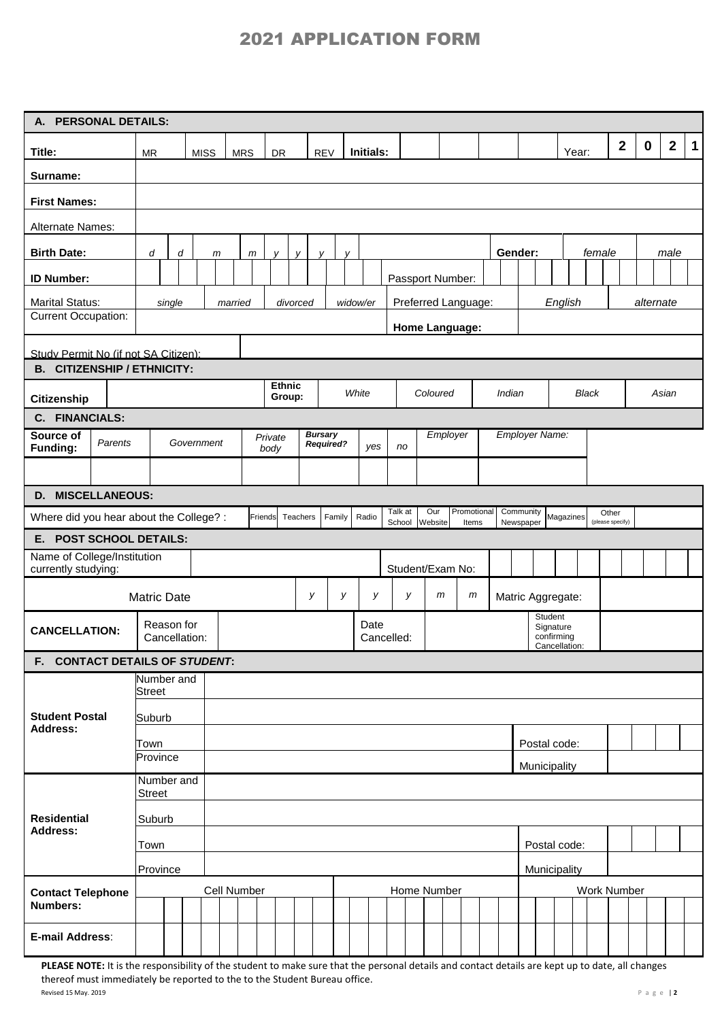| $\mathbf{2}$<br>$\mathbf{2}$<br>$\mathbf 1$<br>$\mathbf 0$<br>Initials:<br>Title:<br>Year:<br><b>MISS</b><br><b>MRS</b><br>DR<br><b>REV</b><br><b>MR</b><br>Surname:<br><b>First Names:</b><br>Alternate Names:<br><b>Birth Date:</b><br>Gender:<br>female<br>male<br>d<br>d<br>m<br>v<br>$\mathsf{m}$<br>v<br>v<br>Passport Number:<br><b>ID Number:</b><br><b>Marital Status:</b><br>Preferred Language:<br>English<br>widow/er<br>alternate<br>single<br>married<br>divorced<br><b>Current Occupation:</b><br>Home Language:<br>Study Permit No (if not SA Citizen):<br><b>B. CITIZENSHIP / ETHNICITY:</b><br><b>Ethnic</b><br>White<br>Coloured<br>Indian<br><b>Black</b><br>Asian<br>Group:<br>Citizenship<br>C. FINANCIALS:<br>Employer Name:<br><b>Bursary</b><br>Employer<br>Source of<br>Private<br>Government<br>Parents<br><b>Required?</b><br>yes<br>Funding:<br>no<br>body<br>D. MISCELLANEOUS:<br>Talk at<br>Our<br>Promotional<br>Community<br>Other<br>Radio<br>Where did you hear about the College? :<br>Friends<br>Teachers<br>Family<br>Magazines<br>School<br>Website<br>Newspaper<br>Items<br>(please specify)<br>E. POST SCHOOL DETAILS:<br>Name of College/Institution<br>Student/Exam No:<br>currently studying:<br>У<br>У<br>У<br>$\mathsf{m}$<br>у<br>m<br>Matric Aggregate:<br><b>Matric Date</b><br>Student<br>Reason for<br>Date<br>Signature<br><b>CANCELLATION:</b><br>confirming<br>Cancellation:<br>Cancelled:<br>Cancellation:<br>F. CONTACT DETAILS OF STUDENT:<br>Number and<br><b>Street</b><br><b>Student Postal</b><br>Suburb<br><b>Address:</b><br>Postal code:<br>Town<br>Province<br>Municipality<br>Number and<br><b>Street</b><br><b>Residential</b><br>Suburb<br>Address:<br>Town<br>Postal code:<br>Province<br>Municipality<br>Cell Number<br>Home Number<br>Work Number<br><b>Contact Telephone</b><br><b>Numbers:</b> | A. PERSONAL DETAILS: |  |  |  |  |  |  |  |  |  |  |  |  |  |  |  |  |  |  |  |  |
|-------------------------------------------------------------------------------------------------------------------------------------------------------------------------------------------------------------------------------------------------------------------------------------------------------------------------------------------------------------------------------------------------------------------------------------------------------------------------------------------------------------------------------------------------------------------------------------------------------------------------------------------------------------------------------------------------------------------------------------------------------------------------------------------------------------------------------------------------------------------------------------------------------------------------------------------------------------------------------------------------------------------------------------------------------------------------------------------------------------------------------------------------------------------------------------------------------------------------------------------------------------------------------------------------------------------------------------------------------------------------------------------------------------------------------------------------------------------------------------------------------------------------------------------------------------------------------------------------------------------------------------------------------------------------------------------------------------------------------------------------------------------------------------------------------------------------------------------------------------------------|----------------------|--|--|--|--|--|--|--|--|--|--|--|--|--|--|--|--|--|--|--|--|
|                                                                                                                                                                                                                                                                                                                                                                                                                                                                                                                                                                                                                                                                                                                                                                                                                                                                                                                                                                                                                                                                                                                                                                                                                                                                                                                                                                                                                                                                                                                                                                                                                                                                                                                                                                                                                                                                         |                      |  |  |  |  |  |  |  |  |  |  |  |  |  |  |  |  |  |  |  |  |
|                                                                                                                                                                                                                                                                                                                                                                                                                                                                                                                                                                                                                                                                                                                                                                                                                                                                                                                                                                                                                                                                                                                                                                                                                                                                                                                                                                                                                                                                                                                                                                                                                                                                                                                                                                                                                                                                         |                      |  |  |  |  |  |  |  |  |  |  |  |  |  |  |  |  |  |  |  |  |
|                                                                                                                                                                                                                                                                                                                                                                                                                                                                                                                                                                                                                                                                                                                                                                                                                                                                                                                                                                                                                                                                                                                                                                                                                                                                                                                                                                                                                                                                                                                                                                                                                                                                                                                                                                                                                                                                         |                      |  |  |  |  |  |  |  |  |  |  |  |  |  |  |  |  |  |  |  |  |
|                                                                                                                                                                                                                                                                                                                                                                                                                                                                                                                                                                                                                                                                                                                                                                                                                                                                                                                                                                                                                                                                                                                                                                                                                                                                                                                                                                                                                                                                                                                                                                                                                                                                                                                                                                                                                                                                         |                      |  |  |  |  |  |  |  |  |  |  |  |  |  |  |  |  |  |  |  |  |
|                                                                                                                                                                                                                                                                                                                                                                                                                                                                                                                                                                                                                                                                                                                                                                                                                                                                                                                                                                                                                                                                                                                                                                                                                                                                                                                                                                                                                                                                                                                                                                                                                                                                                                                                                                                                                                                                         |                      |  |  |  |  |  |  |  |  |  |  |  |  |  |  |  |  |  |  |  |  |
|                                                                                                                                                                                                                                                                                                                                                                                                                                                                                                                                                                                                                                                                                                                                                                                                                                                                                                                                                                                                                                                                                                                                                                                                                                                                                                                                                                                                                                                                                                                                                                                                                                                                                                                                                                                                                                                                         |                      |  |  |  |  |  |  |  |  |  |  |  |  |  |  |  |  |  |  |  |  |
|                                                                                                                                                                                                                                                                                                                                                                                                                                                                                                                                                                                                                                                                                                                                                                                                                                                                                                                                                                                                                                                                                                                                                                                                                                                                                                                                                                                                                                                                                                                                                                                                                                                                                                                                                                                                                                                                         |                      |  |  |  |  |  |  |  |  |  |  |  |  |  |  |  |  |  |  |  |  |
|                                                                                                                                                                                                                                                                                                                                                                                                                                                                                                                                                                                                                                                                                                                                                                                                                                                                                                                                                                                                                                                                                                                                                                                                                                                                                                                                                                                                                                                                                                                                                                                                                                                                                                                                                                                                                                                                         |                      |  |  |  |  |  |  |  |  |  |  |  |  |  |  |  |  |  |  |  |  |
|                                                                                                                                                                                                                                                                                                                                                                                                                                                                                                                                                                                                                                                                                                                                                                                                                                                                                                                                                                                                                                                                                                                                                                                                                                                                                                                                                                                                                                                                                                                                                                                                                                                                                                                                                                                                                                                                         |                      |  |  |  |  |  |  |  |  |  |  |  |  |  |  |  |  |  |  |  |  |
|                                                                                                                                                                                                                                                                                                                                                                                                                                                                                                                                                                                                                                                                                                                                                                                                                                                                                                                                                                                                                                                                                                                                                                                                                                                                                                                                                                                                                                                                                                                                                                                                                                                                                                                                                                                                                                                                         |                      |  |  |  |  |  |  |  |  |  |  |  |  |  |  |  |  |  |  |  |  |
|                                                                                                                                                                                                                                                                                                                                                                                                                                                                                                                                                                                                                                                                                                                                                                                                                                                                                                                                                                                                                                                                                                                                                                                                                                                                                                                                                                                                                                                                                                                                                                                                                                                                                                                                                                                                                                                                         |                      |  |  |  |  |  |  |  |  |  |  |  |  |  |  |  |  |  |  |  |  |
|                                                                                                                                                                                                                                                                                                                                                                                                                                                                                                                                                                                                                                                                                                                                                                                                                                                                                                                                                                                                                                                                                                                                                                                                                                                                                                                                                                                                                                                                                                                                                                                                                                                                                                                                                                                                                                                                         |                      |  |  |  |  |  |  |  |  |  |  |  |  |  |  |  |  |  |  |  |  |
|                                                                                                                                                                                                                                                                                                                                                                                                                                                                                                                                                                                                                                                                                                                                                                                                                                                                                                                                                                                                                                                                                                                                                                                                                                                                                                                                                                                                                                                                                                                                                                                                                                                                                                                                                                                                                                                                         |                      |  |  |  |  |  |  |  |  |  |  |  |  |  |  |  |  |  |  |  |  |
|                                                                                                                                                                                                                                                                                                                                                                                                                                                                                                                                                                                                                                                                                                                                                                                                                                                                                                                                                                                                                                                                                                                                                                                                                                                                                                                                                                                                                                                                                                                                                                                                                                                                                                                                                                                                                                                                         |                      |  |  |  |  |  |  |  |  |  |  |  |  |  |  |  |  |  |  |  |  |
|                                                                                                                                                                                                                                                                                                                                                                                                                                                                                                                                                                                                                                                                                                                                                                                                                                                                                                                                                                                                                                                                                                                                                                                                                                                                                                                                                                                                                                                                                                                                                                                                                                                                                                                                                                                                                                                                         |                      |  |  |  |  |  |  |  |  |  |  |  |  |  |  |  |  |  |  |  |  |
|                                                                                                                                                                                                                                                                                                                                                                                                                                                                                                                                                                                                                                                                                                                                                                                                                                                                                                                                                                                                                                                                                                                                                                                                                                                                                                                                                                                                                                                                                                                                                                                                                                                                                                                                                                                                                                                                         |                      |  |  |  |  |  |  |  |  |  |  |  |  |  |  |  |  |  |  |  |  |
|                                                                                                                                                                                                                                                                                                                                                                                                                                                                                                                                                                                                                                                                                                                                                                                                                                                                                                                                                                                                                                                                                                                                                                                                                                                                                                                                                                                                                                                                                                                                                                                                                                                                                                                                                                                                                                                                         |                      |  |  |  |  |  |  |  |  |  |  |  |  |  |  |  |  |  |  |  |  |
|                                                                                                                                                                                                                                                                                                                                                                                                                                                                                                                                                                                                                                                                                                                                                                                                                                                                                                                                                                                                                                                                                                                                                                                                                                                                                                                                                                                                                                                                                                                                                                                                                                                                                                                                                                                                                                                                         |                      |  |  |  |  |  |  |  |  |  |  |  |  |  |  |  |  |  |  |  |  |
|                                                                                                                                                                                                                                                                                                                                                                                                                                                                                                                                                                                                                                                                                                                                                                                                                                                                                                                                                                                                                                                                                                                                                                                                                                                                                                                                                                                                                                                                                                                                                                                                                                                                                                                                                                                                                                                                         |                      |  |  |  |  |  |  |  |  |  |  |  |  |  |  |  |  |  |  |  |  |
|                                                                                                                                                                                                                                                                                                                                                                                                                                                                                                                                                                                                                                                                                                                                                                                                                                                                                                                                                                                                                                                                                                                                                                                                                                                                                                                                                                                                                                                                                                                                                                                                                                                                                                                                                                                                                                                                         |                      |  |  |  |  |  |  |  |  |  |  |  |  |  |  |  |  |  |  |  |  |
|                                                                                                                                                                                                                                                                                                                                                                                                                                                                                                                                                                                                                                                                                                                                                                                                                                                                                                                                                                                                                                                                                                                                                                                                                                                                                                                                                                                                                                                                                                                                                                                                                                                                                                                                                                                                                                                                         |                      |  |  |  |  |  |  |  |  |  |  |  |  |  |  |  |  |  |  |  |  |
|                                                                                                                                                                                                                                                                                                                                                                                                                                                                                                                                                                                                                                                                                                                                                                                                                                                                                                                                                                                                                                                                                                                                                                                                                                                                                                                                                                                                                                                                                                                                                                                                                                                                                                                                                                                                                                                                         |                      |  |  |  |  |  |  |  |  |  |  |  |  |  |  |  |  |  |  |  |  |
|                                                                                                                                                                                                                                                                                                                                                                                                                                                                                                                                                                                                                                                                                                                                                                                                                                                                                                                                                                                                                                                                                                                                                                                                                                                                                                                                                                                                                                                                                                                                                                                                                                                                                                                                                                                                                                                                         |                      |  |  |  |  |  |  |  |  |  |  |  |  |  |  |  |  |  |  |  |  |
|                                                                                                                                                                                                                                                                                                                                                                                                                                                                                                                                                                                                                                                                                                                                                                                                                                                                                                                                                                                                                                                                                                                                                                                                                                                                                                                                                                                                                                                                                                                                                                                                                                                                                                                                                                                                                                                                         |                      |  |  |  |  |  |  |  |  |  |  |  |  |  |  |  |  |  |  |  |  |
|                                                                                                                                                                                                                                                                                                                                                                                                                                                                                                                                                                                                                                                                                                                                                                                                                                                                                                                                                                                                                                                                                                                                                                                                                                                                                                                                                                                                                                                                                                                                                                                                                                                                                                                                                                                                                                                                         |                      |  |  |  |  |  |  |  |  |  |  |  |  |  |  |  |  |  |  |  |  |
|                                                                                                                                                                                                                                                                                                                                                                                                                                                                                                                                                                                                                                                                                                                                                                                                                                                                                                                                                                                                                                                                                                                                                                                                                                                                                                                                                                                                                                                                                                                                                                                                                                                                                                                                                                                                                                                                         |                      |  |  |  |  |  |  |  |  |  |  |  |  |  |  |  |  |  |  |  |  |
|                                                                                                                                                                                                                                                                                                                                                                                                                                                                                                                                                                                                                                                                                                                                                                                                                                                                                                                                                                                                                                                                                                                                                                                                                                                                                                                                                                                                                                                                                                                                                                                                                                                                                                                                                                                                                                                                         |                      |  |  |  |  |  |  |  |  |  |  |  |  |  |  |  |  |  |  |  |  |
|                                                                                                                                                                                                                                                                                                                                                                                                                                                                                                                                                                                                                                                                                                                                                                                                                                                                                                                                                                                                                                                                                                                                                                                                                                                                                                                                                                                                                                                                                                                                                                                                                                                                                                                                                                                                                                                                         |                      |  |  |  |  |  |  |  |  |  |  |  |  |  |  |  |  |  |  |  |  |
|                                                                                                                                                                                                                                                                                                                                                                                                                                                                                                                                                                                                                                                                                                                                                                                                                                                                                                                                                                                                                                                                                                                                                                                                                                                                                                                                                                                                                                                                                                                                                                                                                                                                                                                                                                                                                                                                         |                      |  |  |  |  |  |  |  |  |  |  |  |  |  |  |  |  |  |  |  |  |
|                                                                                                                                                                                                                                                                                                                                                                                                                                                                                                                                                                                                                                                                                                                                                                                                                                                                                                                                                                                                                                                                                                                                                                                                                                                                                                                                                                                                                                                                                                                                                                                                                                                                                                                                                                                                                                                                         |                      |  |  |  |  |  |  |  |  |  |  |  |  |  |  |  |  |  |  |  |  |
|                                                                                                                                                                                                                                                                                                                                                                                                                                                                                                                                                                                                                                                                                                                                                                                                                                                                                                                                                                                                                                                                                                                                                                                                                                                                                                                                                                                                                                                                                                                                                                                                                                                                                                                                                                                                                                                                         |                      |  |  |  |  |  |  |  |  |  |  |  |  |  |  |  |  |  |  |  |  |
|                                                                                                                                                                                                                                                                                                                                                                                                                                                                                                                                                                                                                                                                                                                                                                                                                                                                                                                                                                                                                                                                                                                                                                                                                                                                                                                                                                                                                                                                                                                                                                                                                                                                                                                                                                                                                                                                         |                      |  |  |  |  |  |  |  |  |  |  |  |  |  |  |  |  |  |  |  |  |
| E-mail Address:                                                                                                                                                                                                                                                                                                                                                                                                                                                                                                                                                                                                                                                                                                                                                                                                                                                                                                                                                                                                                                                                                                                                                                                                                                                                                                                                                                                                                                                                                                                                                                                                                                                                                                                                                                                                                                                         |                      |  |  |  |  |  |  |  |  |  |  |  |  |  |  |  |  |  |  |  |  |

PLEASE NOTE: It is the responsibility of the student to make sure that the personal details and contact details are kept up to date, all changes thereof must immediately be reported to the to the Student Bureau office. Revised 15 May. 2019 P a g e | **2**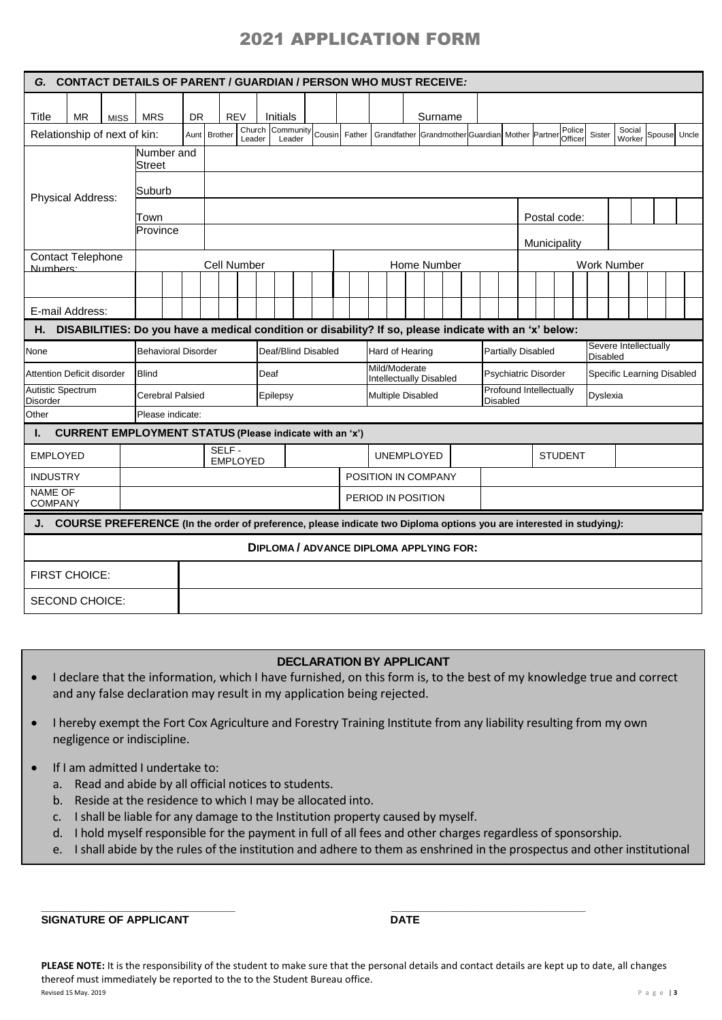| G. CONTACT DETAILS OF PARENT / GUARDIAN / PERSON WHO MUST RECEIVE:                                                     |             |                            |    |                          |            |      |                                                   |  |  |  |                                                 |                                                 |  |  |             |                                            |  |                           |  |                            |                   |  |                                          |        |  |              |  |  |
|------------------------------------------------------------------------------------------------------------------------|-------------|----------------------------|----|--------------------------|------------|------|---------------------------------------------------|--|--|--|-------------------------------------------------|-------------------------------------------------|--|--|-------------|--------------------------------------------|--|---------------------------|--|----------------------------|-------------------|--|------------------------------------------|--------|--|--------------|--|--|
|                                                                                                                        |             |                            |    |                          |            |      |                                                   |  |  |  |                                                 |                                                 |  |  |             |                                            |  |                           |  |                            |                   |  |                                          |        |  |              |  |  |
| <b>Title</b><br><b>MR</b><br>Relationship of next of kin:                                                              | <b>MISS</b> | <b>MRS</b>                 | DR | Aunt Brother             | <b>REV</b> |      | <b>Initials</b><br>Church Community Cousin Father |  |  |  |                                                 | Grandfather Grandmother Guardian Mother Partner |  |  | Surname     |                                            |  |                           |  |                            | Police<br>Officer |  | Sister                                   | Social |  | Spouse Uncle |  |  |
|                                                                                                                        |             | Number and                 |    |                          | Leader     |      | Leader                                            |  |  |  |                                                 |                                                 |  |  |             |                                            |  |                           |  |                            |                   |  |                                          | Worker |  |              |  |  |
|                                                                                                                        |             | <b>Street</b>              |    |                          |            |      |                                                   |  |  |  |                                                 |                                                 |  |  |             |                                            |  |                           |  |                            |                   |  |                                          |        |  |              |  |  |
| Physical Address:                                                                                                      |             | Suburb                     |    |                          |            |      |                                                   |  |  |  |                                                 |                                                 |  |  |             |                                            |  |                           |  |                            |                   |  |                                          |        |  |              |  |  |
|                                                                                                                        |             | Town                       |    |                          |            |      |                                                   |  |  |  |                                                 |                                                 |  |  |             |                                            |  |                           |  | Postal code:               |                   |  |                                          |        |  |              |  |  |
|                                                                                                                        |             | Province                   |    |                          |            |      |                                                   |  |  |  |                                                 |                                                 |  |  |             |                                            |  |                           |  |                            |                   |  |                                          |        |  |              |  |  |
| <b>Contact Telephone</b>                                                                                               |             |                            |    |                          |            |      |                                                   |  |  |  |                                                 |                                                 |  |  |             |                                            |  |                           |  | Municipality               |                   |  |                                          |        |  |              |  |  |
| Numbers:                                                                                                               |             |                            |    | Cell Number              |            |      |                                                   |  |  |  |                                                 |                                                 |  |  | Home Number |                                            |  |                           |  |                            |                   |  | <b>Work Number</b>                       |        |  |              |  |  |
|                                                                                                                        |             |                            |    |                          |            |      |                                                   |  |  |  |                                                 |                                                 |  |  |             |                                            |  |                           |  |                            |                   |  |                                          |        |  |              |  |  |
| E-mail Address:                                                                                                        |             |                            |    |                          |            |      |                                                   |  |  |  |                                                 |                                                 |  |  |             |                                            |  |                           |  |                            |                   |  |                                          |        |  |              |  |  |
| DISABILITIES: Do you have a medical condition or disability? If so, please indicate with an 'x' below:<br>Н.           |             |                            |    |                          |            |      |                                                   |  |  |  |                                                 |                                                 |  |  |             |                                            |  |                           |  |                            |                   |  |                                          |        |  |              |  |  |
| None                                                                                                                   |             | <b>Behavioral Disorder</b> |    |                          |            |      | Deaf/Blind Disabled                               |  |  |  |                                                 | Hard of Hearing                                 |  |  |             |                                            |  | <b>Partially Disabled</b> |  |                            |                   |  | Severe Intellectually<br><b>Disabled</b> |        |  |              |  |  |
| Attention Deficit disorder                                                                                             |             | <b>Blind</b>               |    |                          |            | Deaf |                                                   |  |  |  | Mild/Moderate<br><b>Intellectually Disabled</b> |                                                 |  |  |             | <b>Psychiatric Disorder</b>                |  |                           |  | Specific Learning Disabled |                   |  |                                          |        |  |              |  |  |
| Autistic Spectrum<br><b>Disorder</b>                                                                                   |             | <b>Cerebral Palsied</b>    |    |                          |            |      | Epilepsy                                          |  |  |  | <b>Multiple Disabled</b>                        |                                                 |  |  |             | Profound Intellectually<br><b>Disabled</b> |  |                           |  |                            | Dyslexia          |  |                                          |        |  |              |  |  |
| Other                                                                                                                  |             | Please indicate:           |    |                          |            |      |                                                   |  |  |  |                                                 |                                                 |  |  |             |                                            |  |                           |  |                            |                   |  |                                          |        |  |              |  |  |
| <b>CURRENT EMPLOYMENT STATUS (Please indicate with an 'x')</b><br>ı.                                                   |             |                            |    |                          |            |      |                                                   |  |  |  |                                                 |                                                 |  |  |             |                                            |  |                           |  |                            |                   |  |                                          |        |  |              |  |  |
| <b>EMPLOYED</b>                                                                                                        |             |                            |    | SELF-<br><b>EMPLOYED</b> |            |      |                                                   |  |  |  |                                                 | <b>UNEMPLOYED</b>                               |  |  |             |                                            |  |                           |  | <b>STUDENT</b>             |                   |  |                                          |        |  |              |  |  |
| <b>INDUSTRY</b>                                                                                                        |             |                            |    |                          |            |      |                                                   |  |  |  |                                                 | POSITION IN COMPANY                             |  |  |             |                                            |  |                           |  |                            |                   |  |                                          |        |  |              |  |  |
| <b>NAME OF</b><br><b>COMPANY</b>                                                                                       |             |                            |    |                          |            |      |                                                   |  |  |  |                                                 | PERIOD IN POSITION                              |  |  |             |                                            |  |                           |  |                            |                   |  |                                          |        |  |              |  |  |
| J. COURSE PREFERENCE (In the order of preference, please indicate two Diploma options you are interested in studying): |             |                            |    |                          |            |      |                                                   |  |  |  |                                                 |                                                 |  |  |             |                                            |  |                           |  |                            |                   |  |                                          |        |  |              |  |  |
|                                                                                                                        |             |                            |    |                          |            |      | <b>DIPLOMA / ADVANCE DIPLOMA APPLYING FOR:</b>    |  |  |  |                                                 |                                                 |  |  |             |                                            |  |                           |  |                            |                   |  |                                          |        |  |              |  |  |
| <b>FIRST CHOICE:</b>                                                                                                   |             |                            |    |                          |            |      |                                                   |  |  |  |                                                 |                                                 |  |  |             |                                            |  |                           |  |                            |                   |  |                                          |        |  |              |  |  |
| <b>SECOND CHOICE:</b>                                                                                                  |             |                            |    |                          |            |      |                                                   |  |  |  |                                                 |                                                 |  |  |             |                                            |  |                           |  |                            |                   |  |                                          |        |  |              |  |  |

## **DECLARATION BY APPLICANT**

- I declare that the information, which I have furnished, on this form is, to the best of my knowledge true and correct and any false declaration may result in my application being rejected.
- I hereby exempt the Fort Cox Agriculture and Forestry Training Institute from any liability resulting from my own negligence or indiscipline.
- If I am admitted I undertake to:
	- a. Read and abide by all official notices to students.
	- b. Reside at the residence to which I may be allocated into.
	- c. I shall be liable for any damage to the Institution property caused by myself.
	- d. I hold myself responsible for the payment in full of all fees and other charges regardless of sponsorship.

**\_\_\_\_\_\_\_\_\_\_\_\_\_\_\_\_\_\_\_\_\_\_\_\_\_\_\_\_\_\_\_\_ \_\_\_\_\_\_\_\_\_\_\_\_\_\_\_\_\_\_\_\_\_\_\_\_\_\_\_\_\_\_\_\_**

e. I shall abide by the rules of the institution and adhere to them as enshrined in the prospectus and other institutional

**SIGNATURE OF APPLICANT** 

**PLEASE NOTE:** It is the responsibility of the student to make sure that the personal details and contact details are kept up to date, all changes thereof must immediately be reported to the to the Student Bureau office. Revised 15 May. 2019 P a g e | **3**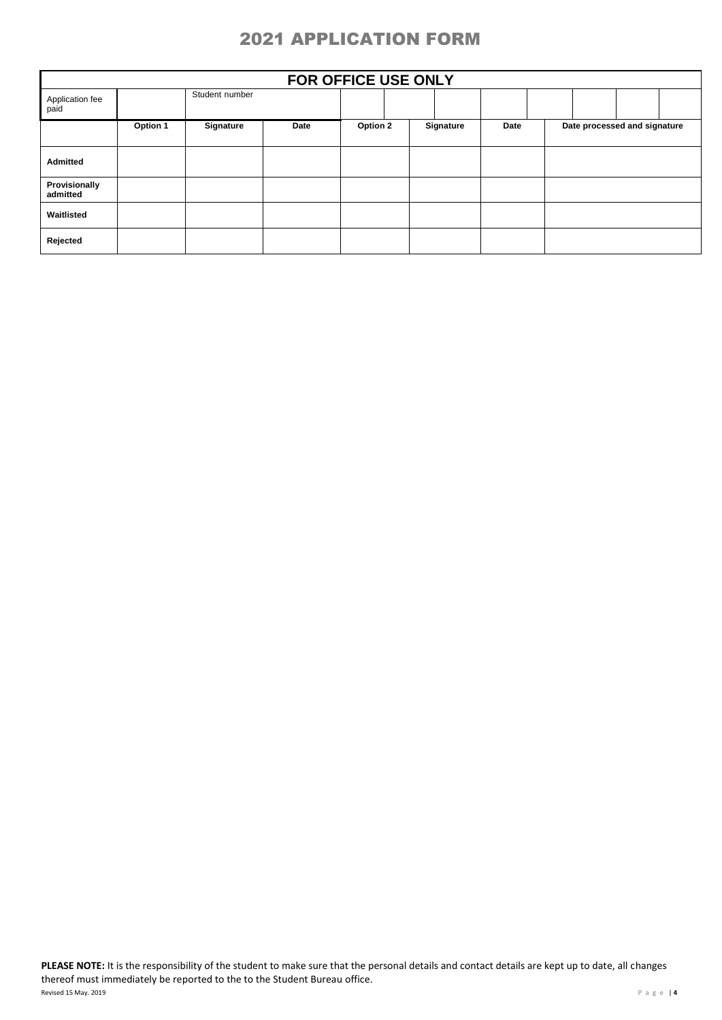|                           | FOR OFFICE USE ONLY |                |      |          |           |      |  |                              |  |  |  |  |  |  |  |
|---------------------------|---------------------|----------------|------|----------|-----------|------|--|------------------------------|--|--|--|--|--|--|--|
| Application fee<br>paid   |                     | Student number |      |          |           |      |  |                              |  |  |  |  |  |  |  |
|                           | Option 1            | Signature      | Date | Option 2 | Signature | Date |  | Date processed and signature |  |  |  |  |  |  |  |
| Admitted                  |                     |                |      |          |           |      |  |                              |  |  |  |  |  |  |  |
| Provisionally<br>admitted |                     |                |      |          |           |      |  |                              |  |  |  |  |  |  |  |
| Waitlisted                |                     |                |      |          |           |      |  |                              |  |  |  |  |  |  |  |
| Rejected                  |                     |                |      |          |           |      |  |                              |  |  |  |  |  |  |  |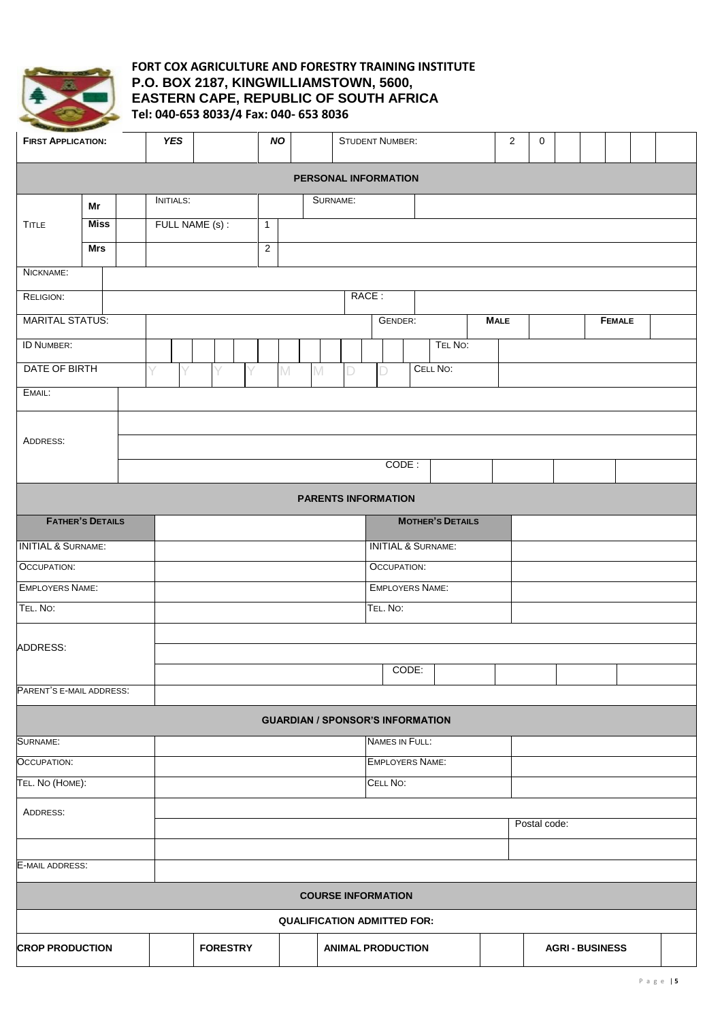

## **FORT COX AGRICULTURE AND FORESTRY TRAINING INSTITUTE P.O. BOX 2187, KINGWILLIAMSTOWN, 5600, EASTERN CAPE, REPUBLIC OF SOUTH AFRICA Tel: 040-653 8033/4 Fax: 040- 653 8036**

| <b>FIRST APPLICATION:</b>     |                                    |  | <b>YES</b>              |                 | <b>NO</b>      |                   |                                         | <b>STUDENT NUMBER:</b>        | $\overline{c}$ |  | 0           |  |              |  |                      |               |  |  |  |
|-------------------------------|------------------------------------|--|-------------------------|-----------------|----------------|-------------------|-----------------------------------------|-------------------------------|----------------|--|-------------|--|--------------|--|----------------------|---------------|--|--|--|
|                               |                                    |  |                         |                 |                |                   | PERSONAL INFORMATION                    |                               |                |  |             |  |              |  |                      |               |  |  |  |
|                               | Mr                                 |  | <b>INITIALS:</b>        |                 |                |                   | SURNAME:                                |                               |                |  |             |  |              |  |                      |               |  |  |  |
| <b>TITLE</b>                  | <b>Miss</b>                        |  |                         | FULL NAME (s) : | $\mathbf{1}$   |                   |                                         |                               |                |  |             |  |              |  |                      |               |  |  |  |
|                               | <b>Mrs</b>                         |  |                         |                 | $\overline{2}$ |                   |                                         |                               |                |  |             |  |              |  |                      |               |  |  |  |
| NICKNAME:                     |                                    |  |                         |                 |                |                   |                                         |                               |                |  |             |  |              |  |                      |               |  |  |  |
| RELIGION:                     |                                    |  |                         |                 |                |                   |                                         | RACE:                         |                |  |             |  |              |  |                      |               |  |  |  |
| <b>MARITAL STATUS:</b>        |                                    |  |                         |                 |                |                   |                                         | GENDER:                       |                |  | <b>MALE</b> |  |              |  |                      | <b>FEMALE</b> |  |  |  |
| <b>ID NUMBER:</b>             |                                    |  |                         | TEL NO:         |                |                   |                                         |                               |                |  |             |  |              |  |                      |               |  |  |  |
| DATE OF BIRTH                 |                                    |  | V<br>V                  | Υ               |                | $\mathbb{M}$<br>M | D                                       | D                             | CELL NO:       |  |             |  |              |  |                      |               |  |  |  |
| EMAIL:                        |                                    |  |                         |                 |                |                   |                                         |                               |                |  |             |  |              |  |                      |               |  |  |  |
|                               |                                    |  |                         |                 |                |                   |                                         |                               |                |  |             |  |              |  |                      |               |  |  |  |
| ADDRESS:<br>CODE:             |                                    |  |                         |                 |                |                   |                                         |                               |                |  |             |  |              |  |                      |               |  |  |  |
|                               |                                    |  |                         |                 |                |                   |                                         |                               |                |  |             |  |              |  |                      |               |  |  |  |
| <b>PARENTS INFORMATION</b>    |                                    |  |                         |                 |                |                   |                                         |                               |                |  |             |  |              |  |                      |               |  |  |  |
| <b>FATHER'S DETAILS</b>       |                                    |  | <b>MOTHER'S DETAILS</b> |                 |                |                   |                                         |                               |                |  |             |  |              |  |                      |               |  |  |  |
| <b>INITIAL &amp; SURNAME:</b> |                                    |  |                         |                 |                |                   |                                         | <b>INITIAL &amp; SURNAME:</b> |                |  |             |  |              |  |                      |               |  |  |  |
| OCCUPATION:                   |                                    |  |                         |                 |                |                   |                                         | <b>OCCUPATION:</b>            |                |  |             |  |              |  |                      |               |  |  |  |
| <b>EMPLOYERS NAME:</b>        |                                    |  |                         |                 |                |                   |                                         | <b>EMPLOYERS NAME:</b>        |                |  |             |  |              |  |                      |               |  |  |  |
| TEL. NO:                      |                                    |  |                         |                 |                |                   |                                         | TEL. NO:                      |                |  |             |  |              |  |                      |               |  |  |  |
|                               |                                    |  |                         |                 |                |                   |                                         |                               |                |  |             |  |              |  |                      |               |  |  |  |
| ADDRESS:                      |                                    |  |                         |                 |                |                   |                                         |                               |                |  |             |  |              |  |                      |               |  |  |  |
| PARENT'S E-MAIL ADDRESS:      |                                    |  |                         |                 |                |                   |                                         | CODE:                         |                |  |             |  |              |  |                      |               |  |  |  |
|                               |                                    |  |                         |                 |                |                   | <b>GUARDIAN / SPONSOR'S INFORMATION</b> |                               |                |  |             |  |              |  |                      |               |  |  |  |
| SURNAME:                      |                                    |  |                         |                 |                |                   |                                         | <b>NAMES IN FULL:</b>         |                |  |             |  |              |  |                      |               |  |  |  |
| <b>OCCUPATION:</b>            |                                    |  |                         |                 |                |                   |                                         | <b>EMPLOYERS NAME:</b>        |                |  |             |  |              |  |                      |               |  |  |  |
| TEL. NO (HOME):               |                                    |  |                         |                 |                |                   |                                         | CELL NO:                      |                |  |             |  |              |  |                      |               |  |  |  |
| ADDRESS:                      |                                    |  |                         |                 |                |                   |                                         |                               |                |  |             |  |              |  |                      |               |  |  |  |
|                               |                                    |  |                         |                 |                |                   |                                         |                               |                |  |             |  | Postal code: |  |                      |               |  |  |  |
|                               |                                    |  |                         |                 |                |                   |                                         |                               |                |  |             |  |              |  |                      |               |  |  |  |
| E-MAIL ADDRESS:               |                                    |  |                         |                 |                |                   |                                         |                               |                |  |             |  |              |  |                      |               |  |  |  |
| <b>COURSE INFORMATION</b>     |                                    |  |                         |                 |                |                   |                                         |                               |                |  |             |  |              |  |                      |               |  |  |  |
|                               | <b>QUALIFICATION ADMITTED FOR:</b> |  |                         |                 |                |                   |                                         |                               |                |  |             |  |              |  |                      |               |  |  |  |
| <b>CROP PRODUCTION</b>        |                                    |  |                         | <b>FORESTRY</b> |                |                   | <b>ANIMAL PRODUCTION</b>                |                               |                |  |             |  |              |  | <b>AGRI-BUSINESS</b> |               |  |  |  |